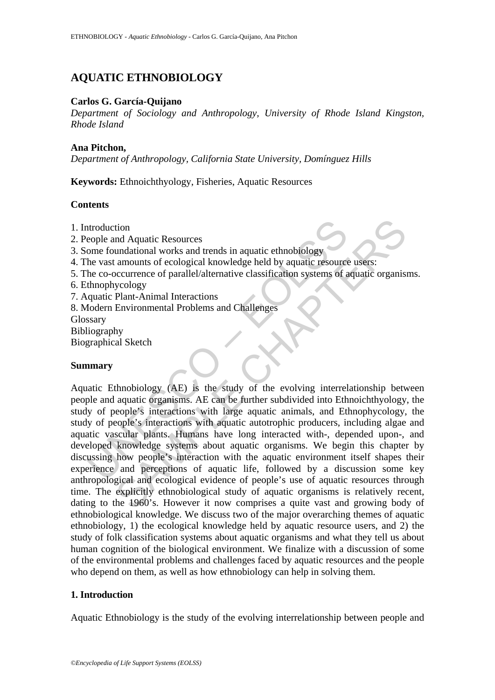# **AQUATIC ETHNOBIOLOGY**

## **Carlos G. García-Quijano**

*Department of Sociology and Anthropology, University of Rhode Island Kingston, Rhode Island* 

#### **Ana Pitchon,**

*Department of Anthropology, California State University, Domínguez Hills* 

**Keywords:** Ethnoichthyology, Fisheries, Aquatic Resources

### **Contents**

- 1. Introduction
- 2. People and Aquatic Resources
- 3. Some foundational works and trends in aquatic ethnobiology
- 4. The vast amounts of ecological knowledge held by aquatic resource users:
- 5. The co-occurrence of parallel/alternative classification systems of aquatic organisms.
- 6. Ethnophycology
- 7. Aquatic Plant-Animal Interactions
- 8. Modern Environmental Problems and Challenges

**Glossary** 

Bibliography

Biographical Sketch

# **Summary**

ntroduction<br>
eople and Aquatic Resources<br>
ome foundational works and trends in aquatic ethnobiology<br>
the vast amounts of ecological knowledge held by aquatic resource<br>
the co-occurrence of parallel/alternative classificati tion<br>
und Aquatic Resources<br>
undational works and trends in aquatic ethnobiology<br>
unational works and trends in aquatic ethnobiology<br>
amounts of ecological knowledge held by aquatic resource users:<br>
yecology<br>
Plant-Animal Aquatic Ethnobiology (AE) is the study of the evolving interrelationship between people and aquatic organisms. AE can be further subdivided into Ethnoichthyology, the study of people's interactions with large aquatic animals, and Ethnophycology, the study of people's interactions with aquatic autotrophic producers, including algae and aquatic vascular plants. Humans have long interacted with-, depended upon-, and developed knowledge systems about aquatic organisms. We begin this chapter by discussing how people's interaction with the aquatic environment itself shapes their experience and perceptions of aquatic life, followed by a discussion some key anthropological and ecological evidence of people's use of aquatic resources through time. The explicitly ethnobiological study of aquatic organisms is relatively recent, dating to the 1960's. However it now comprises a quite vast and growing body of ethnobiological knowledge. We discuss two of the major overarching themes of aquatic ethnobiology, 1) the ecological knowledge held by aquatic resource users, and 2) the study of folk classification systems about aquatic organisms and what they tell us about human cognition of the biological environment. We finalize with a discussion of some of the environmental problems and challenges faced by aquatic resources and the people who depend on them, as well as how ethnobiology can help in solving them.

# **1. Introduction**

Aquatic Ethnobiology is the study of the evolving interrelationship between people and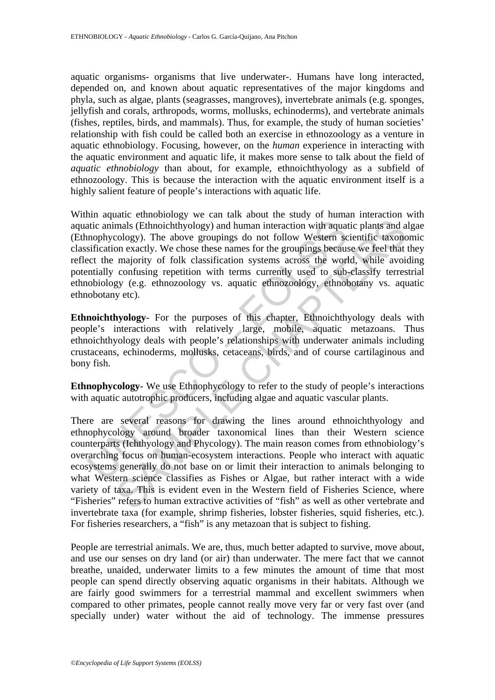aquatic organisms- organisms that live underwater-. Humans have long interacted, depended on, and known about aquatic representatives of the major kingdoms and phyla, such as algae, plants (seagrasses, mangroves), invertebrate animals (e.g. sponges, jellyfish and corals, arthropods, worms, mollusks, echinoderms), and vertebrate animals (fishes, reptiles, birds, and mammals). Thus, for example, the study of human societies' relationship with fish could be called both an exercise in ethnozoology as a venture in aquatic ethnobiology. Focusing, however, on the *human* experience in interacting with the aquatic environment and aquatic life, it makes more sense to talk about the field of *aquatic ethnobiology* than about, for example, ethnoichthyology as a subfield of ethnozoology. This is because the interaction with the aquatic environment itself is a highly salient feature of people's interactions with aquatic life.

atic animals (Ethnoichthyology) and human interaction with aquat mophycology). The above groupings do not follow Western scribiation exactly. We chose these names for the groupings because cert the majority of folk classif Within aquatic ethnobiology we can talk about the study of human interaction with aquatic animals (Ethnoichthyology) and human interaction with aquatic plants and algae (Ethnophycology). The above groupings do not follow Western scientific taxonomic classification exactly. We chose these names for the groupings because we feel that they reflect the majority of folk classification systems across the world, while avoiding potentially confusing repetition with terms currently used to sub-classify terrestrial ethnobiology (e.g. ethnozoology vs. aquatic ethnozoology, ethnobotany vs. aquatic ethnobotany etc).

**Ethnoichthyology**- For the purposes of this chapter, Ethnoichthyology deals with people's interactions with relatively large, mobile, aquatic metazoans. Thus ethnoichthyology deals with people's relationships with underwater animals including crustaceans, echinoderms, mollusks, cetaceans, birds, and of course cartilaginous and bony fish.

**Ethnophycology**- We use Ethnophycology to refer to the study of people's interactions with aquatic autotrophic producers, including algae and aquatic vascular plants.

mals (Ethnoichhyology) and human interaction with aquatic plants and a<br>mals (Ethnoichhyology) and human interaction with aquatic plants and a<br>cology). The above groupings do not follow Western scientific taxon<br>on exactly. There are several reasons for drawing the lines around ethnoichthyology and ethnophycology around broader taxonomical lines than their Western science counterparts (Ichthyology and Phycology). The main reason comes from ethnobiology's overarching focus on human-ecosystem interactions. People who interact with aquatic ecosystems generally do not base on or limit their interaction to animals belonging to what Western science classifies as Fishes or Algae, but rather interact with a wide variety of taxa. This is evident even in the Western field of Fisheries Science, where "Fisheries" refers to human extractive activities of "fish" as well as other vertebrate and invertebrate taxa (for example, shrimp fisheries, lobster fisheries, squid fisheries, etc.). For fisheries researchers, a "fish" is any metazoan that is subject to fishing.

People are terrestrial animals. We are, thus, much better adapted to survive, move about, and use our senses on dry land (or air) than underwater. The mere fact that we cannot breathe, unaided, underwater limits to a few minutes the amount of time that most people can spend directly observing aquatic organisms in their habitats. Although we are fairly good swimmers for a terrestrial mammal and excellent swimmers when compared to other primates, people cannot really move very far or very fast over (and specially under) water without the aid of technology. The immense pressures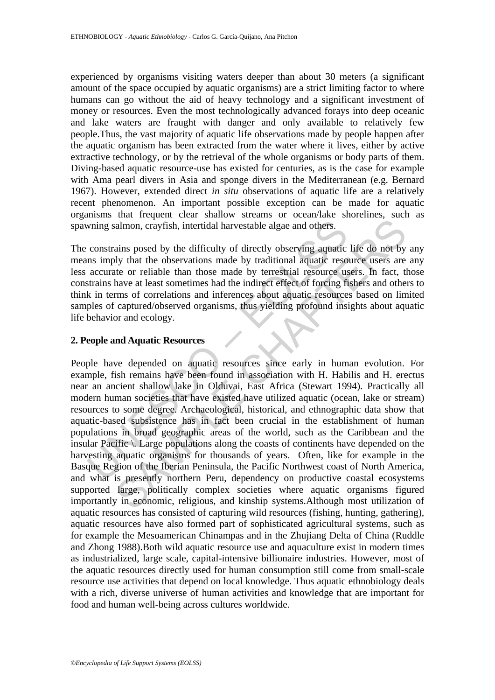experienced by organisms visiting waters deeper than about 30 meters (a significant amount of the space occupied by aquatic organisms) are a strict limiting factor to where humans can go without the aid of heavy technology and a significant investment of money or resources. Even the most technologically advanced forays into deep oceanic and lake waters are fraught with danger and only available to relatively few people.Thus, the vast majority of aquatic life observations made by people happen after the aquatic organism has been extracted from the water where it lives, either by active extractive technology, or by the retrieval of the whole organisms or body parts of them. Diving-based aquatic resource-use has existed for centuries, as is the case for example with Ama pearl divers in Asia and sponge divers in the Mediterranean (e.g. Bernard 1967). However, extended direct *in situ* observations of aquatic life are a relatively recent phenomenon. An important possible exception can be made for aquatic organisms that frequent clear shallow streams or ocean/lake shorelines, such as spawning salmon, crayfish, intertidal harvestable algae and others.

The constrains posed by the difficulty of directly observing aquatic life do not by any means imply that the observations made by traditional aquatic resource users are any less accurate or reliable than those made by terrestrial resource users. In fact, those constrains have at least sometimes had the indirect effect of forcing fishers and others to think in terms of correlations and inferences about aquatic resources based on limited samples of captured/observed organisms, thus yielding profound insights about aquatic life behavior and ecology.

### **2. People and Aquatic Resources**

wning salmon, crayfish, intertidal harvestable algae and others.<br>
constrains posed by the difficulty of directly observing aquatic<br>
ans imply that the observations made by traditional aquatic reso<br>
accurate or reliable tha almon, crayfish, intertidal harvestable algae and others.<br>
ains posed by the difficulty of directly observing aquatic life do not by<br>
by that the observations made by traditional aquatic resource users are<br>
te or reliable People have depended on aquatic resources since early in human evolution. For example, fish remains have been found in association with H. Habilis and H. erectus near an ancient shallow lake in Olduvai, East Africa (Stewart 1994). Practically all modern human societies that have existed have utilized aquatic (ocean, lake or stream) resources to some degree. Archaeological, historical, and ethnographic data show that aquatic-based subsistence has in fact been crucial in the establishment of human populations in broad geographic areas of the world, such as the Caribbean and the insular Pacific \. Large populations along the coasts of continents have depended on the harvesting aquatic organisms for thousands of years. Often, like for example in the Basque Region of the Iberian Peninsula, the Pacific Northwest coast of North America, and what is presently northern Peru, dependency on productive coastal ecosystems supported large, politically complex societies where aquatic organisms figured importantly in economic, religious, and kinship systems.Although most utilization of aquatic resources has consisted of capturing wild resources (fishing, hunting, gathering), aquatic resources have also formed part of sophisticated agricultural systems, such as for example the Mesoamerican Chinampas and in the Zhujiang Delta of China (Ruddle and Zhong 1988).Both wild aquatic resource use and aquaculture exist in modern times as industrialized, large scale, capital-intensive billionaire industries. However, most of the aquatic resources directly used for human consumption still come from small-scale resource use activities that depend on local knowledge. Thus aquatic ethnobiology deals with a rich, diverse universe of human activities and knowledge that are important for food and human well-being across cultures worldwide.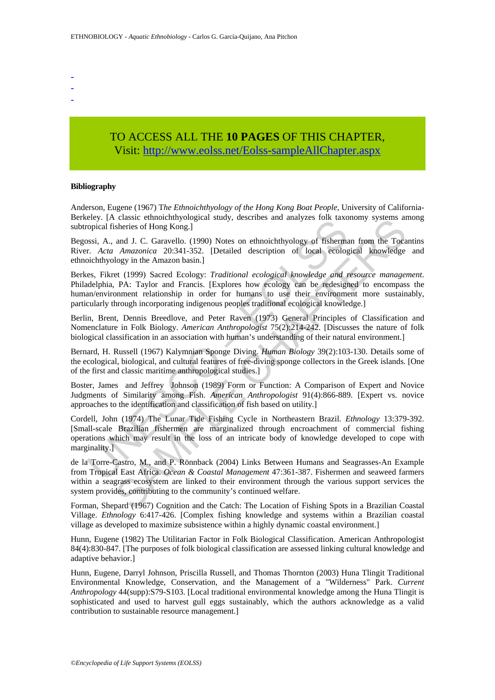- -
- -

# TO ACCESS ALL THE **10 PAGES** OF THIS CHAPTER, Visit[: http://www.eolss.net/Eolss-sampleAllChapter.aspx](https://www.eolss.net/ebooklib/sc_cart.aspx?File=E6-115-16-00)

#### **Bibliography**

Anderson, Eugene (1967) T*he Ethnoichthyology of the Hong Kong Boat People*, University of California-Berkeley. [A classic ethnoichthyological study, describes and analyzes folk taxonomy systems among subtropical fisheries of Hong Kong.]

Begossi, A., and J. C. Garavello. (1990) Notes on ethnoichthyology of fisherman from the Tocantins River. *Acta Amazonica* 20:341-352. [Detailed description of local ecological knowledge and ethnoichthyology in the Amazon basin.]

Exp. Tax causar cumbandony observed and y, accentos and unaryzes for a taxe<br>opical fisheries of Hong Kong.]<br>Sosi, A., and J. C. Garavello. (1990) Notes on ethnoichthyology of fisherm<br>r. Acta Amazonica 20:341-352. [Detailed Berkes, Fikret (1999) Sacred Ecology: *Traditional ecological knowledge and resource management*. Philadelphia, PA: Taylor and Francis. [Explores how ecology can be redesigned to encompass the human/environment relationship in order for humans to use their environment more sustainably, particularly through incorporating indigenous peoples traditional ecological knowledge.]

Berlin, Brent, Dennis Breedlove, and Peter Raven (1973) General Principles of Classification and Nomenclature in Folk Biology. *American Anthropologist* 75(2):214-242. [Discusses the nature of folk biological classification in an association with human's understanding of their natural environment.]

Bernard, H. Russell (1967) Kalymnian Sponge Diving. *Human Biology* 39(2):103-130. Details some of the ecological, biological, and cultural features of free-diving sponge collectors in the Greek islands. [One of the first and classic maritime anthropological studies.]

Boster, James and Jeffrey Johnson (1989) Form or Function: A Comparison of Expert and Novice Judgments of Similarity among Fish. *American Anthropologist* 91(4):866-889. [Expert vs. novice approaches to the identification and classification of fish based on utility.]

Cordell, John (1974) The Lunar Tide Fishing Cycle in Northeastern Brazil. *Ethnology* 13:379-392. [Small-scale Brazilian fishermen are marginalized through encroachment of commercial fishing operations which may result in the loss of an intricate body of knowledge developed to cope with marginality.]

Casse etmodentialoguean statisty. describes and analyzes fork takonomiy systems at casenes of Hong Kong.]<br>
and J. C. Garavello. (1990) Notes on ethnoichthyology of fisherman from the Toca *Amazonica* 20:341-352. [Detailed de la Torre-Castro, M., and P. Rönnback (2004) Links Between Humans and Seagrasses-An Example from Tropical East Africa. *Ocean & Coastal Management* 47:361-387. Fishermen and seaweed farmers within a seagrass ecosystem are linked to their environment through the various support services the system provides, contributing to the community's continued welfare.

Forman, Shepard (1967) Cognition and the Catch: The Location of Fishing Spots in a Brazilian Coastal Village. *Ethnology* 6:417-426. [Complex fishing knowledge and systems within a Brazilian coastal village as developed to maximize subsistence within a highly dynamic coastal environment.]

Hunn, Eugene (1982) The Utilitarian Factor in Folk Biological Classification. American Anthropologist 84(4):830-847. [The purposes of folk biological classification are assessed linking cultural knowledge and adaptive behavior.]

Hunn, Eugene, Darryl Johnson, Priscilla Russell, and Thomas Thornton (2003) Huna Tlingit Traditional Environmental Knowledge, Conservation, and the Management of a "Wilderness" Park. *Current Anthropology* 44(supp):S79-S103. [Local traditional environmental knowledge among the Huna Tlingit is sophisticated and used to harvest gull eggs sustainably, which the authors acknowledge as a valid contribution to sustainable resource management.]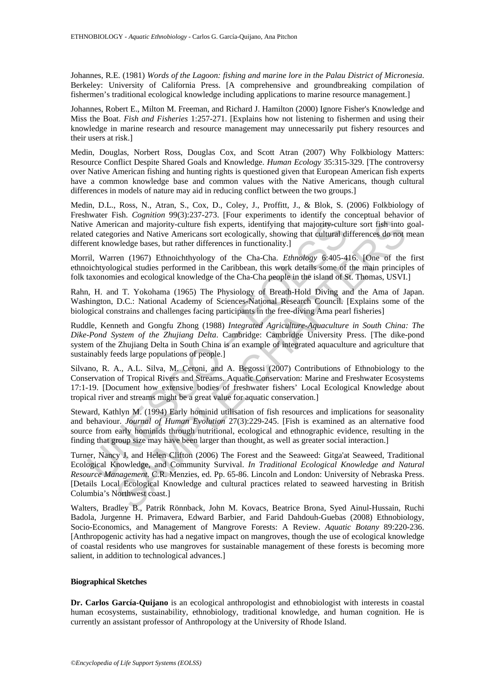Johannes, R.E. (1981) *Words of the Lagoon: fishing and marine lore in the Palau District of Micronesia*. Berkeley: University of California Press. [A comprehensive and groundbreaking compilation of fishermen's traditional ecological knowledge including applications to marine resource management.]

Johannes, Robert E., Milton M. Freeman, and Richard J. Hamilton (2000) Ignore Fisher's Knowledge and Miss the Boat. *Fish and Fisheries* 1:257-271. [Explains how not listening to fishermen and using their knowledge in marine research and resource management may unnecessarily put fishery resources and their users at risk.]

Medin, Douglas, Norbert Ross, Douglas Cox, and Scott Atran (2007) Why Folkbiology Matters: Resource Conflict Despite Shared Goals and Knowledge. *Human Ecology* 35:315-329. [The controversy over Native American fishing and hunting rights is questioned given that European American fish experts have a common knowledge base and common values with the Native Americans, though cultural differences in models of nature may aid in reducing conflict between the two groups.]

Medin, D.L., Ross, N., Atran, S., Cox, D., Coley, J., Proffitt, J., & Blok, S. (2006) Folkbiology of Freshwater Fish. *Cognition* 99(3):237-273. [Four experiments to identify the conceptual behavior of Native American and majority-culture fish experts, identifying that majority-culture sort fish into goalrelated categories and Native Americans sort ecologically, showing that cultural differences do not mean different knowledge bases, but rather differences in functionality.]

Morril, Warren (1967) Ethnoichthyology of the Cha-Cha. *Ethnology* 6:405-416. [One of the first ethnoichtyological studies performed in the Caribbean, this work details some of the main principles of folk taxonomies and ecological knowledge of the Cha-Cha people in the island of St. Thomas, USVI.]

Rahn, H. and T. Yokohama (1965) The Physiology of Breath-Hold Diving and the Ama of Japan. Washington, D.C.: National Academy of Sciences-National Research Council. [Explains some of the biological constrains and challenges facing participants in the free-diving Ama pearl fisheries]

is de dategores and majority-culture fish experts, identifying that majority-culture<br>ent chargones and Native Americans sort ecologically, showing that cultural did<br>rent knowledge bases, but rather differences in functiona Ruddle, Kenneth and Gongfu Zhong (1988) *Integrated Agriculture-Aquaculture in South China: The Dike-Pond System of the Zhujiang Delta*. Cambridge: Cambridge University Press. [The dike-pond system of the Zhujiang Delta in South China is an example of integrated aquaculture and agriculture that sustainably feeds large populations of people.]

Silvano, R. A., A.L. Silva, M. Ceroni, and A. Begossi (2007) Contributions of Ethnobiology to the Conservation of Tropical Rivers and Streams. Aquatic Conservation: Marine and Freshwater Ecosystems 17:1-19. [Document how extensive bodies of freshwater fishers' Local Ecological Knowledge about tropical river and streams might be a great value for aquatic conservation.]

Steward, Kathlyn M. (1994) Early hominid utilisation of fish resources and implications for seasonality and behaviour. *Journal of Human Evolution* 27(3):229-245. [Fish is examined as an alternative food source from early hominids through nutritional, ecological and ethnographic evidence, resulting in the finding that group size may have been larger than thought, as well as greater social interaction.]

ican and majority-culture fish experts, identifying that majority-culture sort fish into<br>tions and majority-culture fish experts, identifying that majority-culture sort fish into<br>ories and Native Americans sort ecologicall Turner, Nancy J. and Helen Clifton (2006) The Forest and the Seaweed: Gitga'at Seaweed, Traditional Ecological Knowledge, and Community Survival. *In Traditional Ecological Knowledge and Natural Resource Management*. C.R. Menzies, ed. Pp. 65-86. Lincoln and London: University of Nebraska Press. [Details Local Ecological Knowledge and cultural practices related to seaweed harvesting in British Columbia's Northwest coast.]

Walters, Bradley B., Patrik Rönnback, John M. Kovacs, Beatrice Brona, Syed Ainul-Hussain, Ruchi Badola, Jurgenne H. Primavera, Edward Barbier, and Farid Dahdouh-Guebas (2008) Ethnobiology, Socio-Economics, and Management of Mangrove Forests: A Review. *Aquatic Botany* 89:220-236. [Anthropogenic activity has had a negative impact on mangroves, though the use of ecological knowledge of coastal residents who use mangroves for sustainable management of these forests is becoming more salient, in addition to technological advances.]

#### **Biographical Sketches**

**Dr. Carlos García-Quijano** is an ecological anthropologist and ethnobiologist with interests in coastal human ecosystems, sustainability, ethnobiology, traditional knowledge, and human cognition. He is currently an assistant professor of Anthropology at the University of Rhode Island.